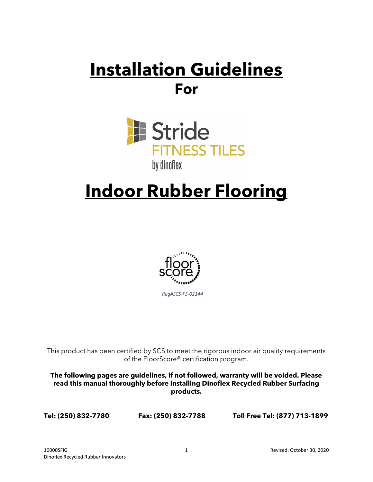# **Installation Guidelines For**



# **Indoor Rubber Flooring**



*Reg#SCS-FS-02144* 

This product has been certified by SCS to meet the rigorous indoor air quality requirements of the FloorScore® certification program.

**The following pages are guidelines, if not followed, warranty will be voided. Please read this manual thoroughly before installing Dinoflex Recycled Rubber Surfacing products.**

**Tel: (250) 832-7780 Fax: (250) 832-7788 Toll Free Tel: (877) 713-1899**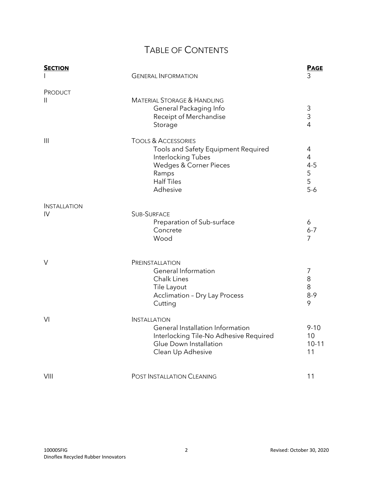# TABLE OF CONTENTS

| <b>SECTION</b>      | <b>GENERAL INFORMATION</b>                                                                                                                                      | <b>PAGE</b><br>3                                  |
|---------------------|-----------------------------------------------------------------------------------------------------------------------------------------------------------------|---------------------------------------------------|
| PRODUCT<br>Ш        | <b>MATERIAL STORAGE &amp; HANDLING</b><br>General Packaging Info<br>Receipt of Merchandise<br>Storage                                                           | 3<br>3<br>$\overline{4}$                          |
| $\mathbf{III}$      | <b>TOOLS &amp; ACCESSORIES</b><br>Tools and Safety Equipment Required<br>Interlocking Tubes<br>Wedges & Corner Pieces<br>Ramps<br><b>Half Tiles</b><br>Adhesive | 4<br>$\overline{4}$<br>$4 - 5$<br>5<br>5<br>$5-6$ |
| <b>INSTALLATION</b> |                                                                                                                                                                 |                                                   |
| IV                  | <b>SUB-SURFACE</b><br>Preparation of Sub-surface<br>Concrete<br>Wood                                                                                            | 6<br>$6 - 7$<br>$\overline{7}$                    |
| V                   | PREINSTALLATION<br>General Information<br>Chalk Lines<br>Tile Layout<br><b>Acclimation - Dry Lay Process</b><br>Cutting                                         | 7<br>8<br>8<br>$8 - 9$<br>9                       |
| VI                  | <b>INSTALLATION</b><br>General Installation Information<br>Interlocking Tile-No Adhesive Required<br>Glue Down Installation<br>Clean Up Adhesive                | $9 - 10$<br>10<br>$10 - 11$<br>11                 |
| VIII                | POST INSTALLATION CLEANING                                                                                                                                      | 11                                                |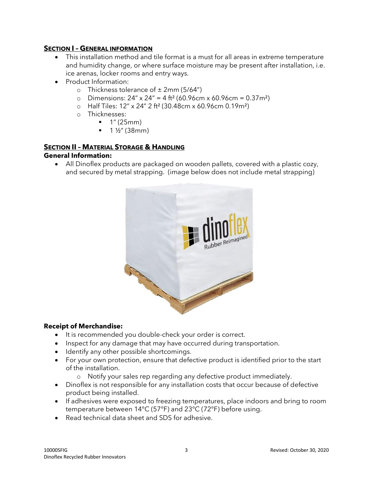# **SECTION I – GENERAL INFORMATION**

- This installation method and tile format is a must for all areas in extreme temperature and humidity change, or where surface moisture may be present after installation, i.e. ice arenas, locker rooms and entry ways.
- Product Information:
	- o Thickness tolerance of  $\pm 2$ mm (5/64")
	- o Dimensions:  $24'' \times 24'' = 4 \text{ ft}^2 (60.96 \text{cm} \times 60.96 \text{cm} = 0.37 \text{m}^2)$
	- o Half Tiles: 12" x 24" 2 ft² (30.48cm x 60.96cm 0.19m²)
	- o Thicknesses:
		- 1" (25mm)
		- 1 ½" (38mm)

# **SECTION II – MATERIAL STORAGE & HANDLING General Information:**

• All Dinoflex products are packaged on wooden pallets, covered with a plastic cozy, and secured by metal strapping. (image below does not include metal strapping)



# **Receipt of Merchandise:**

- It is recommended you double-check your order is correct.
- Inspect for any damage that may have occurred during transportation.
- Identify any other possible shortcomings.
- For your own protection, ensure that defective product is identified prior to the start of the installation.
	- o Notify your sales rep regarding any defective product immediately.
- Dinoflex is not responsible for any installation costs that occur because of defective product being installed.
- If adhesives were exposed to freezing temperatures, place indoors and bring to room temperature between 14°C (57°F) and 23°C (72°F) before using.
- Read technical data sheet and SDS for adhesive.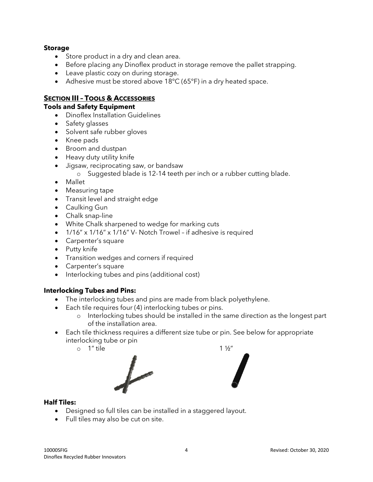#### **Storage**

- Store product in a dry and clean area.
- Before placing any Dinoflex product in storage remove the pallet strapping.
- Leave plastic cozy on during storage.
- Adhesive must be stored above 18°C (65°F) in a dry heated space.

# **SECTION III – TOOLS & ACCESSORIES**

#### **Tools and Safety Equipment**

- Dinoflex Installation Guidelines
- Safety glasses
- Solvent safe rubber gloves
- Knee pads
- Broom and dustpan
- Heavy duty utility knife
- Jigsaw, reciprocating saw, or bandsaw
	- o Suggested blade is 12-14 teeth per inch or a rubber cutting blade.
- Mallet
- Measuring tape
- Transit level and straight edge
- Caulking Gun
- Chalk snap-line
- White Chalk sharpened to wedge for marking cuts
- 1/16" x 1/16" x 1/16" V- Notch Trowel if adhesive is required
- Carpenter's square
- Putty knife
- Transition wedges and corners if required
- Carpenter's square
- Interlocking tubes and pins (additional cost)

# **Interlocking Tubes and Pins:**

• The interlocking tubes and pins are made from black polyethylene.

• Designed so full tiles can be installed in a staggered layout.

- Each tile requires four (4) interlocking tubes or pins.
	- o Interlocking tubes should be installed in the same direction as the longest part of the installation area.
- Each tile thickness requires a different size tube or pin. See below for appropriate interlocking tube or pin
	- $\circ$  1" tile 1 1/2"



Full tiles may also be cut on site.

**Half Tiles:**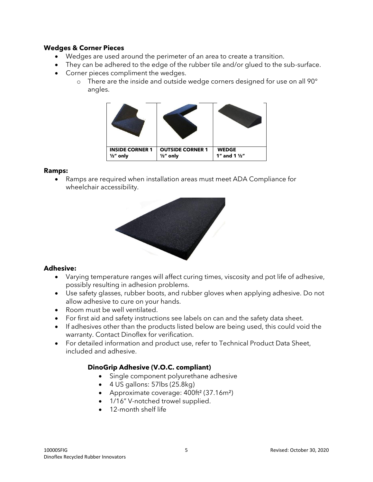#### **Wedges & Corner Pieces**

- Wedges are used around the perimeter of an area to create a transition.
- They can be adhered to the edge of the rubber tile and/or glued to the sub-surface.
- Corner pieces compliment the wedges.
	- o There are the inside and outside wedge corners designed for use on all 90° angles.



#### **Ramps:**

• Ramps are required when installation areas must meet ADA Compliance for wheelchair accessibility.



# **Adhesive:**

- Varying temperature ranges will affect curing times, viscosity and pot life of adhesive, possibly resulting in adhesion problems.
- Use safety glasses, rubber boots, and rubber gloves when applying adhesive. Do not allow adhesive to cure on your hands.
- Room must be well ventilated.
- For first aid and safety instructions see labels on can and the safety data sheet.
- If adhesives other than the products listed below are being used, this could void the warranty. Contact Dinoflex for verification.
- For detailed information and product use, refer to Technical Product Data Sheet, included and adhesive.

# **DinoGrip Adhesive (V.O.C. compliant)**

- Single component polyurethane adhesive
- 4 US gallons: 57lbs (25.8kg)
- Approximate coverage: 400ft² (37.16m²)
- 1/16" V-notched trowel supplied.
- 12-month shelf life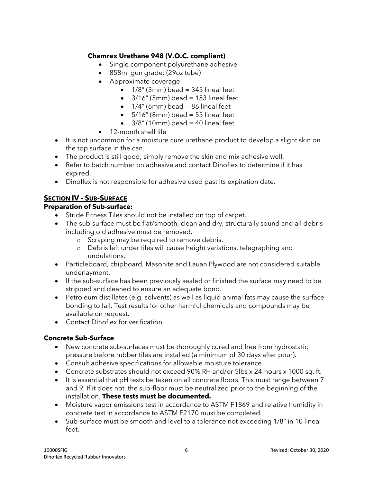# **Chemrex Urethane 948 (V.O.C. compliant)**

- Single component polyurethane adhesive
- 858ml gun grade: (29oz tube)
- Approximate coverage:
	- $\bullet$  1/8" (3mm) bead = 345 lineal feet
	- $\bullet$  3/16" (5mm) bead = 153 lineal feet
	- $\bullet$  1/4" (6mm) bead = 86 lineal feet
	- $\bullet$  5/16" (8mm) bead = 55 lineal feet
	- $3/8$ " (10mm) bead = 40 lineal feet
- 12-month shelf life
- It is not uncommon for a moisture cure urethane product to develop a slight skin on the top surface in the can.
- The product is still good; simply remove the skin and mix adhesive well.
- Refer to batch number on adhesive and contact Dinoflex to determine if it has expired.
- Dinoflex is not responsible for adhesive used past its expiration date.

# **SECTION IV – SUB-SURFACE**

# **Preparation of Sub-surface:**

- Stride Fitness Tiles should not be installed on top of carpet.
- The sub-surface must be flat/smooth, clean and dry, structurally sound and all debris including old adhesive must be removed.
	- o Scraping may be required to remove debris.
	- o Debris left under tiles will cause height variations, telegraphing and undulations.
- Particleboard, chipboard, Masonite and Lauan Plywood are not considered suitable underlayment.
- If the sub-surface has been previously sealed or finished the surface may need to be stripped and cleaned to ensure an adequate bond.
- Petroleum distillates (e.g. solvents) as well as liquid animal fats may cause the surface bonding to fail. Test results for other harmful chemicals and compounds may be available on request.
- Contact Dinoflex for verification.

# **Concrete Sub-Surface**

- New concrete sub-surfaces must be thoroughly cured and free from hydrostatic pressure before rubber tiles are installed (a minimum of 30 days after pour).
- Consult adhesive specifications for allowable moisture tolerance.
- Concrete substrates should not exceed 90% RH and/or 5lbs x 24-hours x 1000 sq. ft.
- It is essential that pH tests be taken on all concrete floors. This must range between 7 and 9. If it does not, the sub-floor must be neutralized prior to the beginning of the installation. **These tests must be documented.**
- Moisture vapor emissions test in accordance to ASTM F1869 and relative humidity in concrete test in accordance to ASTM F2170 must be completed.
- Sub-surface must be smooth and level to a tolerance not exceeding 1/8" in 10 lineal feet.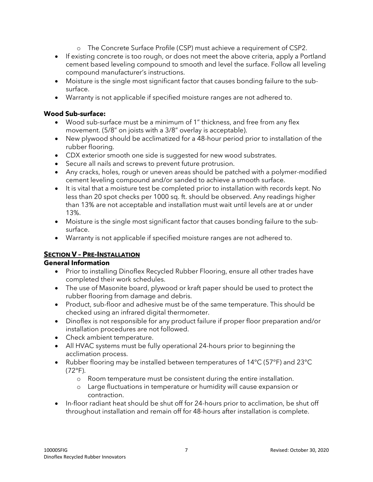- o The Concrete Surface Profile (CSP) must achieve a requirement of CSP2.
- If existing concrete is too rough, or does not meet the above criteria, apply a Portland cement based leveling compound to smooth and level the surface. Follow all leveling compound manufacturer's instructions.
- Moisture is the single most significant factor that causes bonding failure to the subsurface.
- Warranty is not applicable if specified moisture ranges are not adhered to.

# **Wood Sub-surface:**

- Wood sub-surface must be a minimum of 1" thickness, and free from any flex movement. (5/8" on joists with a 3/8" overlay is acceptable).
- New plywood should be acclimatized for a 48-hour period prior to installation of the rubber flooring.
- CDX exterior smooth one side is suggested for new wood substrates.
- Secure all nails and screws to prevent future protrusion.
- Any cracks, holes, rough or uneven areas should be patched with a polymer-modified cement leveling compound and/or sanded to achieve a smooth surface.
- It is vital that a moisture test be completed prior to installation with records kept. No less than 20 spot checks per 1000 sq. ft. should be observed. Any readings higher than 13% are not acceptable and installation must wait until levels are at or under 13%.
- Moisture is the single most significant factor that causes bonding failure to the subsurface.
- Warranty is not applicable if specified moisture ranges are not adhered to.

# **SECTION V – PRE-INSTALLATION**

# **General Information**

- Prior to installing Dinoflex Recycled Rubber Flooring, ensure all other trades have completed their work schedules.
- The use of Masonite board, plywood or kraft paper should be used to protect the rubber flooring from damage and debris.
- Product, sub-floor and adhesive must be of the same temperature. This should be checked using an infrared digital thermometer.
- Dinoflex is not responsible for any product failure if proper floor preparation and/or installation procedures are not followed.
- Check ambient temperature.
- All HVAC systems must be fully operational 24-hours prior to beginning the acclimation process.
- Rubber flooring may be installed between temperatures of 14°C (57°F) and 23°C (72°F).
	- o Room temperature must be consistent during the entire installation.
	- o Large fluctuations in temperature or humidity will cause expansion or contraction.
- In-floor radiant heat should be shut off for 24-hours prior to acclimation, be shut off throughout installation and remain off for 48-hours after installation is complete.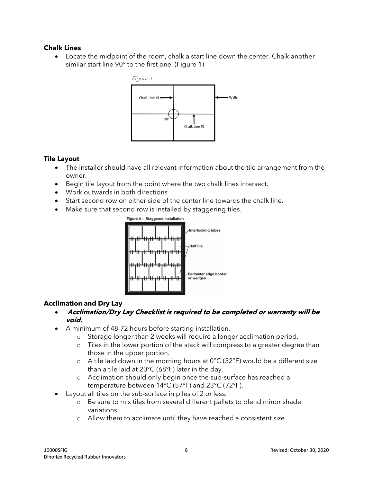## **Chalk Lines**

• Locate the midpoint of the room, chalk a start line down the center. Chalk another similar start line 90° to the first one. (Figure 1)



### **Tile Layout**

- The installer should have all relevant information about the tile arrangement from the owner.
- Begin tile layout from the point where the two chalk lines intersect.
- Work outwards in both directions
- Start second row on either side of the center line towards the chalk line.
- Make sure that second row is installed by staggering tiles.



# **Acclimation and Dry Lay**

- **Acclimation/Dry Lay Checklist is required to be completed or warranty will be void.**
- A minimum of 48-72 hours before starting installation.
	- o Storage longer than 2 weeks will require a longer acclimation period.
	- o Tiles in the lower portion of the stack will compress to a greater degree than those in the upper portion.
	- $\circ$  A tile laid down in the morning hours at 0°C (32°F) would be a different size than a tile laid at 20°C (68°F) later in the day.
	- o Acclimation should only begin once the sub-surface has reached a temperature between 14°C (57°F) and 23°C (72°F).
- Layout all tiles on the sub-surface in piles of 2 or less:
	- o Be sure to mix tiles from several different pallets to blend minor shade variations.
	- o Allow them to acclimate until they have reached a consistent size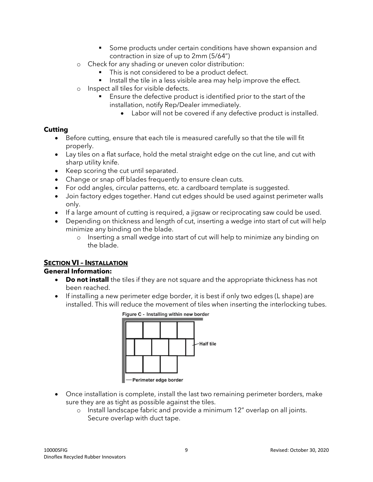- Some products under certain conditions have shown expansion and contraction in size of up to 2mm (5/64")
- o Check for any shading or uneven color distribution:
	- This is not considered to be a product defect.
	- Install the tile in a less visible area may help improve the effect.
- o Inspect all tiles for visible defects.
	- Ensure the defective product is identified prior to the start of the installation, notify Rep/Dealer immediately.
		- Labor will not be covered if any defective product is installed.

### **Cutting**

- Before cutting, ensure that each tile is measured carefully so that the tile will fit properly.
- Lay tiles on a flat surface, hold the metal straight edge on the cut line, and cut with sharp utility knife.
- Keep scoring the cut until separated.
- Change or snap off blades frequently to ensure clean cuts.
- For odd angles, circular patterns, etc. a cardboard template is suggested.
- Join factory edges together. Hand cut edges should be used against perimeter walls only.
- If a large amount of cutting is required, a jigsaw or reciprocating saw could be used.
- Depending on thickness and length of cut, inserting a wedge into start of cut will help minimize any binding on the blade.
	- o Inserting a small wedge into start of cut will help to minimize any binding on the blade.

# **SECTION VI – INSTALLATION**

# **General Information:**

- **Do not install** the tiles if they are not square and the appropriate thickness has not been reached.
- If installing a new perimeter edge border, it is best if only two edges (L shape) are installed. This will reduce the movement of tiles when inserting the interlocking tubes.



- Once installation is complete, install the last two remaining perimeter borders, make sure they are as tight as possible against the tiles.
	- o Install landscape fabric and provide a minimum 12" overlap on all joints. Secure overlap with duct tape.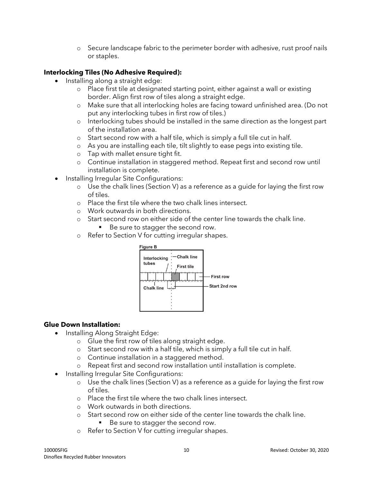o Secure landscape fabric to the perimeter border with adhesive, rust proof nails or staples.

# **Interlocking Tiles (No Adhesive Required):**

- Installing along a straight edge:
	- o Place first tile at designated starting point, either against a wall or existing border. Align first row of tiles along a straight edge.
	- o Make sure that all interlocking holes are facing toward unfinished area. (Do not put any interlocking tubes in first row of tiles.)
	- o Interlocking tubes should be installed in the same direction as the longest part of the installation area.
	- o Start second row with a half tile, which is simply a full tile cut in half.
	- o As you are installing each tile, tilt slightly to ease pegs into existing tile.
	- o Tap with mallet ensure tight fit.
	- o Continue installation in staggered method. Repeat first and second row until installation is complete.
	- Installing Irregular Site Configurations:
		- o Use the chalk lines (Section V) as a reference as a guide for laying the first row of tiles.
		- o Place the first tile where the two chalk lines intersect.
		- o Work outwards in both directions.
		- o Start second row on either side of the center line towards the chalk line.
			- Be sure to stagger the second row.
		- o Refer to Section V for cutting irregular shapes.



# **Glue Down Installation:**

- Installing Along Straight Edge:
	- o Glue the first row of tiles along straight edge.
	- o Start second row with a half tile, which is simply a full tile cut in half.
	- o Continue installation in a staggered method.
	- o Repeat first and second row installation until installation is complete.
- Installing Irregular Site Configurations:
	- o Use the chalk lines (Section V) as a reference as a guide for laying the first row of tiles.
	- o Place the first tile where the two chalk lines intersect.
	- o Work outwards in both directions.
	- o Start second row on either side of the center line towards the chalk line. ■ Be sure to stagger the second row.
	- o Refer to Section V for cutting irregular shapes.